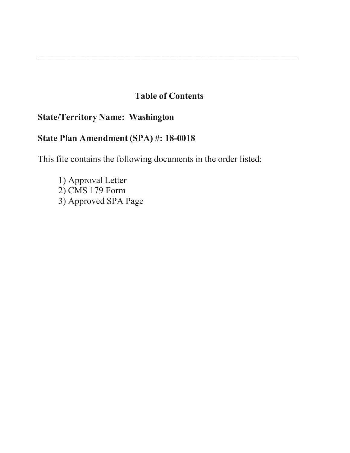# **Table of Contents**

\_\_\_\_\_\_\_\_\_\_\_\_\_\_\_\_\_\_\_\_\_\_\_\_\_\_\_\_\_\_\_\_\_\_\_\_\_\_\_\_\_\_\_\_\_\_\_\_\_\_\_\_\_\_\_\_\_\_\_\_\_\_\_\_\_\_\_\_\_\_\_\_\_\_\_\_\_\_\_\_\_\_\_

# **State/Territory Name: Washington**

# **State Plan Amendment (SPA) #: 18-0018**

This file contains the following documents in the order listed:

1) Approval Letter 2) CMS 179 Form 3) Approved SPA Page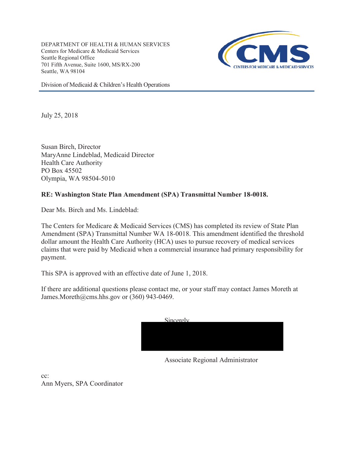DEPARTMENT OF HEALTH & HUMAN SERVICES Centers for Medicare & Medicaid Services Seattle Regional Office 701 Fifth Avenue, Suite 1600, MS/RX-200 Seattle, WA 98104



Division of Medicaid & Children's Health Operations

July 25, 2018

Susan Birch, Director MaryAnne Lindeblad, Medicaid Director Health Care Authority PO Box 45502 Olympia, WA 98504-5010

### **RE: Washington State Plan Amendment (SPA) Transmittal Number 18-0018.**

Dear Ms. Birch and Ms. Lindeblad:

The Centers for Medicare & Medicaid Services (CMS) has completed its review of State Plan Amendment (SPA) Transmittal Number WA 18-0018. This amendment identified the threshold dollar amount the Health Care Authority (HCA) uses to pursue recovery of medical services claims that were paid by Medicaid when a commercial insurance had primary responsibility for payment.

This SPA is approved with an effective date of June 1, 2018.

If there are additional questions please contact me, or your staff may contact James Moreth at James.Moreth@cms.hhs.gov or (360) 943-0469.

| Sincerely |  |  |
|-----------|--|--|
|           |  |  |
|           |  |  |
|           |  |  |
|           |  |  |

Associate Regional Administrator

cc:

Ann Myers, SPA Coordinator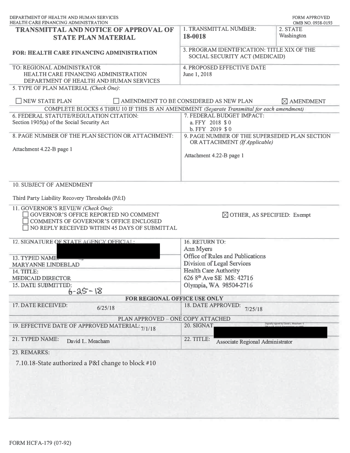|                                                                               | <b>FORM APPROVED</b><br>OMB NO. 0938-0193                                                                                                                                                                                                                                                                                                                                       |  |
|-------------------------------------------------------------------------------|---------------------------------------------------------------------------------------------------------------------------------------------------------------------------------------------------------------------------------------------------------------------------------------------------------------------------------------------------------------------------------|--|
| 1. TRANSMITTAL NUMBER:<br>18-0018                                             | 2. STATE<br>Washington                                                                                                                                                                                                                                                                                                                                                          |  |
| 3. PROGRAM IDENTIFICATION: TITLE XIX OF THE<br>SOCIAL SECURITY ACT (MEDICAID) |                                                                                                                                                                                                                                                                                                                                                                                 |  |
| <b>4. PROPOSED EFFECTIVE DATE</b><br>June 1, 2018                             |                                                                                                                                                                                                                                                                                                                                                                                 |  |
|                                                                               |                                                                                                                                                                                                                                                                                                                                                                                 |  |
| AMENDMENT TO BE CONSIDERED AS NEW PLAN                                        | $\boxtimes$ AMENDMENT                                                                                                                                                                                                                                                                                                                                                           |  |
|                                                                               |                                                                                                                                                                                                                                                                                                                                                                                 |  |
| a. FFY 2018 \$0<br>b. FFY 2019 \$0                                            |                                                                                                                                                                                                                                                                                                                                                                                 |  |
|                                                                               |                                                                                                                                                                                                                                                                                                                                                                                 |  |
| Attachment 4.22-B page 1                                                      |                                                                                                                                                                                                                                                                                                                                                                                 |  |
|                                                                               |                                                                                                                                                                                                                                                                                                                                                                                 |  |
|                                                                               |                                                                                                                                                                                                                                                                                                                                                                                 |  |
|                                                                               |                                                                                                                                                                                                                                                                                                                                                                                 |  |
| 16. RETURN TO:                                                                |                                                                                                                                                                                                                                                                                                                                                                                 |  |
| Ann Myers                                                                     |                                                                                                                                                                                                                                                                                                                                                                                 |  |
| Office of Rules and Publications                                              |                                                                                                                                                                                                                                                                                                                                                                                 |  |
| Division of Legal Services                                                    |                                                                                                                                                                                                                                                                                                                                                                                 |  |
| Health Care Authority                                                         |                                                                                                                                                                                                                                                                                                                                                                                 |  |
| 626 8 <sup>th</sup> Ave SE MS: 42716                                          |                                                                                                                                                                                                                                                                                                                                                                                 |  |
| Olympia, WA 98504-2716                                                        |                                                                                                                                                                                                                                                                                                                                                                                 |  |
|                                                                               |                                                                                                                                                                                                                                                                                                                                                                                 |  |
|                                                                               |                                                                                                                                                                                                                                                                                                                                                                                 |  |
|                                                                               |                                                                                                                                                                                                                                                                                                                                                                                 |  |
| PLAN APPROVED - ONE COPY ATTACHED<br>Digitally signed by David L. Meacham -S  |                                                                                                                                                                                                                                                                                                                                                                                 |  |
|                                                                               |                                                                                                                                                                                                                                                                                                                                                                                 |  |
| <b>22. TITLE:</b>                                                             |                                                                                                                                                                                                                                                                                                                                                                                 |  |
|                                                                               |                                                                                                                                                                                                                                                                                                                                                                                 |  |
|                                                                               | COMPLETE BLOCKS 6 THRU 10 IF THIS IS AN AMENDMENT (Separate Transmittal for each amendment)<br>7. FEDERAL BUDGET IMPACT:<br>9. PAGE NUMBER OF THE SUPERSEDED PLAN SECTION<br>OR ATTACHMENT (If Applicable)<br>$\boxtimes$ OTHER, AS SPECIFIED: Exempt<br>FOR REGIONAL OFFICE USE ONLY<br>18. DATE APPROVED:<br>7/25/18<br>20. SIGNAT<br><b>Associate Regional Administrator</b> |  |